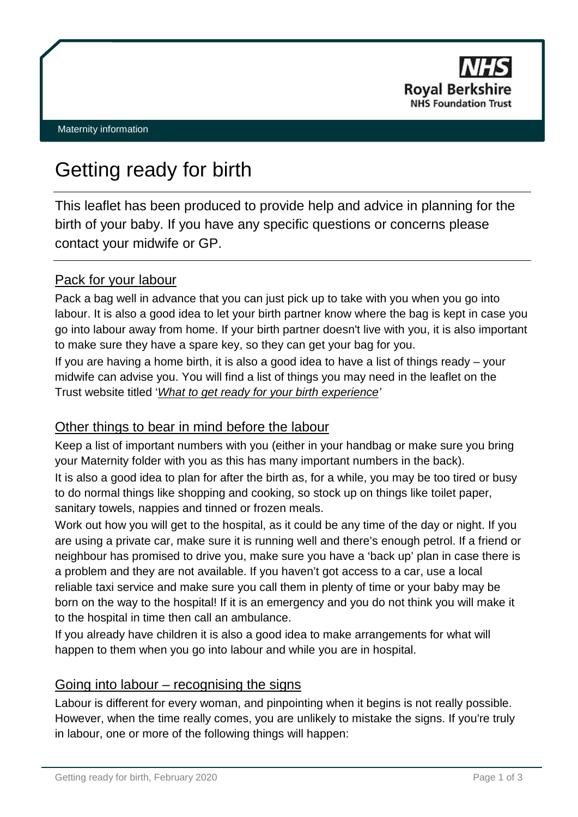

# Getting ready for birth

This leaflet has been produced to provide help and advice in planning for the birth of your baby. If you have any specific questions or concerns please contact your midwife or GP.

# Pack for your labour

Pack a bag well in advance that you can just pick up to take with you when you go into labour. It is also a good idea to let your birth partner know where the bag is kept in case you go into labour away from home. If your birth partner doesn't live with you, it is also important to make sure they have a spare key, so they can get your bag for you.

If you are having a home birth, it is also a good idea to have a list of things ready – your midwife can advise you. You will find a list of things you may need in the leaflet on the Trust website titled '*[What to get ready for your birth experience'](https://www.royalberkshire.nhs.uk/patient-information-leaflets/?AccessLetter=M)*

## Other things to bear in mind before the labour

Keep a list of important numbers with you (either in your handbag or make sure you bring your Maternity folder with you as this has many important numbers in the back).

It is also a good idea to plan for after the birth as, for a while, you may be too tired or busy to do normal things like shopping and cooking, so stock up on things like toilet paper, sanitary towels, nappies and tinned or frozen meals.

Work out how you will get to the hospital, as it could be any time of the day or night. If you are using a private car, make sure it is running well and there's enough petrol. If a friend or neighbour has promised to drive you, make sure you have a 'back up' plan in case there is a problem and they are not available. If you haven't got access to a car, use a local reliable taxi service and make sure you call them in plenty of time or your baby may be born on the way to the hospital! If it is an emergency and you do not think you will make it to the hospital in time then call an ambulance.

If you already have children it is also a good idea to make arrangements for what will happen to them when you go into labour and while you are in hospital.

## Going into labour – recognising the signs

Labour is different for every woman, and pinpointing when it begins is not really possible. However, when the time really comes, you are unlikely to mistake the signs. If you're truly in labour, one or more of the following things will happen: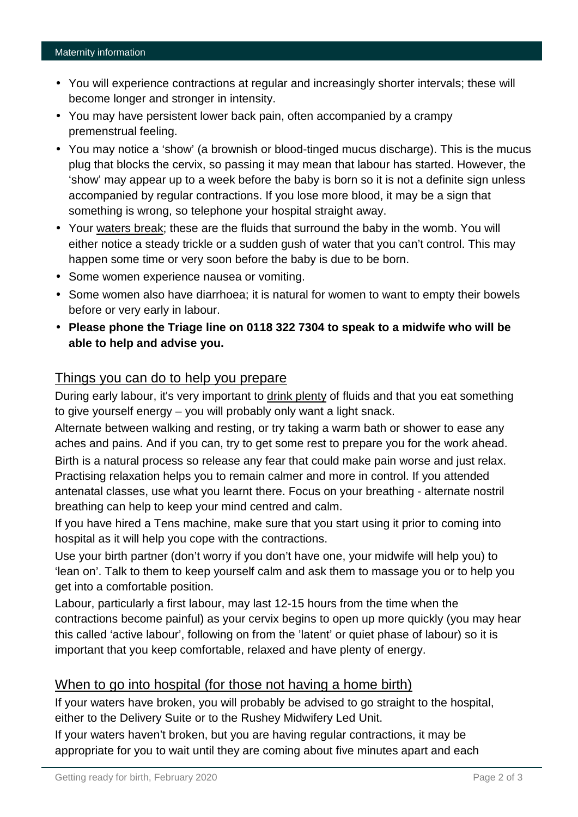#### Maternity information

- You will experience contractions at regular and increasingly shorter intervals; these will become longer and stronger in intensity.
- You may have persistent lower back pain, often accompanied by a crampy premenstrual feeling.
- You may notice a 'show' (a brownish or blood-tinged mucus discharge). This is the mucus plug that blocks the cervix, so passing it may mean that labour has started. However, the 'show' may appear up to a week before the baby is born so it is not a definite sign unless accompanied by regular contractions. If you lose more blood, it may be a sign that something is wrong, so telephone your hospital straight away.
- Your [waters break;](http://www.babycentre.co.uk/pregnancy/labourandbirth/labour/watersbreakearlyexpert/) these are the fluids that surround the baby in the womb. You will either notice a steady trickle or a sudden gush of water that you can't control. This may happen some time or very soon before the baby is due to be born.
- Some women experience nausea or vomiting.
- Some women also have diarrhoea; it is natural for women to want to empty their bowels before or very early in labour.
- **Please phone the Triage line on 0118 322 7304 to speak to a midwife who will be able to help and advise you.**

## Things you can do to help you prepare

During early labour, it's very important to [drink plenty](http://www.babycentre.co.uk/pregnancy/labourandbirth/labour/eatinganddrinking/) of fluids and that you eat something to give yourself energy – you will probably only want a light snack.

Alternate between walking and resting, or try taking a warm bath or shower to ease any aches and pains. And if you can, try to get some rest to prepare you for the work ahead. Birth is a natural process so release any fear that could make pain worse and just relax. Practising relaxation helps you to remain calmer and more in control. If you attended antenatal classes, use what you learnt there. Focus on your breathing - alternate nostril breathing can help to keep your mind centred and calm.

If you have hired a Tens machine, make sure that you start using it prior to coming into hospital as it will help you cope with the contractions.

Use your birth partner (don't worry if you don't have one, your midwife will help you) to 'lean on'. Talk to them to keep yourself calm and ask them to massage you or to help you get into a comfortable position.

Labour, particularly a first labour, may last 12-15 hours from the time when the contractions become painful) as your cervix begins to open up more quickly (you may hear this called 'active labour', following on from the 'latent' or quiet phase of labour) so it is important that you keep comfortable, relaxed and have plenty of energy.

## When to go into hospital (for those not having a home birth)

If your waters have broken, you will probably be advised to go straight to the hospital, either to the Delivery Suite or to the Rushey Midwifery Led Unit.

If your waters haven't broken, but you are having regular contractions, it may be appropriate for you to wait until they are coming about five minutes apart and each